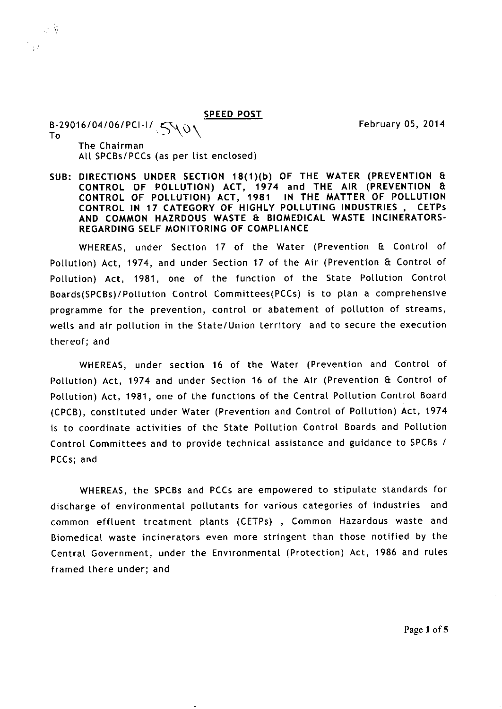SPEED POST

February 05, 2014

B-29016/04/06/PCI-I/ SVV<br>To

 $\sim$   $\frac{1}{2}$ 

 $\mathcal{D}^{\star}$ 

The Chairman All SPCBs/PCCs (as per list enclosed)

SUB: DIRECTIONS UNDER SECTION 18(1)(b) OF THE WATER (PREVENTION & CONTROL OF POLLUTION) ACT, 1974 and THE AIR (PREVENTION Et CONTROL OF POLLUTION) ACT, 1981 IN THE MATTER OF POLLUTION<br>CONTROL IN 17 CATEGORY OF HIGHLY POLLUTING INDUSTRIES. CETPs CONTROL IN 17 CATEGORY OF HIGHLY POLLUTING INDUSTRIES, AND COMMON HAZRDOUS WASTE 8 BIOMEDICAL WASTE INCINERATORS-REGARDING SELF MONITORING OF COMPLIANCE

WHEREAS, under Section 17 of the Water (Prevention & Control of Pollution) Act, 1974, and under Section 17 of the Air (Prevention & Control of Pollution) Act, 1981, one of the function of the State Pollution Control Boards(SPCBs)/Pollution Control Committees(PCCs) is to plan a comprehensive programme for the prevention, control or abatement of pollution of streams, wells and air pollution in the State/Union territory and to secure the execution thereof; and

WHEREAS, under section 16 of the Water (Prevention and Control of Pollution) Act, 1974 and under Section 16 of the Air (Prevention & Control of Pollution) Act, 1981, one of the functions of the Central Pollution Control Board (CPCB), constituted under Water (Prevention and Control of Pollution) Act, 1974 is to coordinate activities of the State Pollution Control Boards and Pollution Control Committees and to provide technical assistance and guidance to SPCBs / PCCs; and

WHEREAS, the SPCBs and PCCs are empowered to stipulate standards for discharge of environmental pollutants for various categories of industries and common effluent treatment plants (CETPs) , Common Hazardous waste and Biomedical waste incinerators even more stringent than those notified by the Central Government, under the Environmental (Protection) Act, 1986 and rules framed there under; and

Page 1 of 5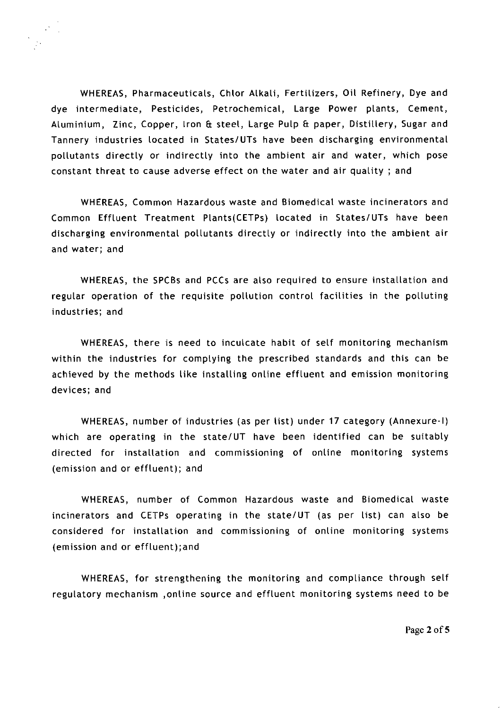WHEREAS, Pharmaceuticals, Chlor Alkali, Fertilizers, Oil Refinery, Dye and dye intermediate, Pesticides, Petrochemical, Large Power plants, Cement, Aluminium, Zinc, Copper, Iron & steel, Large Pulp & paper, Distillery, Sugar and Tannery industries located in States/UTs have been discharging environmental pollutants directly or indirectly into the ambient air and water, which pose constant threat to cause adverse effect on the water and air quality ; and

WHEREAS, Common Hazardous waste and Biomedical waste incinerators and Common Effluent Treatment Plants(CETPs) located in States/UTs have been discharging environmental pollutants directly or indirectly into the ambient air and water; and

WHEREAS, the SPCBs and PCCs are also required to ensure installation and regular operation of the requisite pollution control facilities in the polluting industries; and

WHEREAS, there is need to inculcate habit of self monitoring mechanism within the industries for complying the prescribed standards and this can be achieved by the methods like installing online effluent and emission monitoring devices; and

WHEREAS, number of industries (as per list) under 17 category (Annexure-I) which are operating in the state/UT have been identified can be suitably directed for installation and commissioning of online monitoring systems (emission and or effluent); and

WHEREAS, number of Common Hazardous waste and Biomedical waste incinerators and CETPs operating in the state/UT (as per list) can also be considered for installation and commissioning of online monitoring systems (emission and or effluent);and

WHEREAS, for strengthening the monitoring and compliance through self regulatory mechanism ,online source and effluent monitoring systems need to be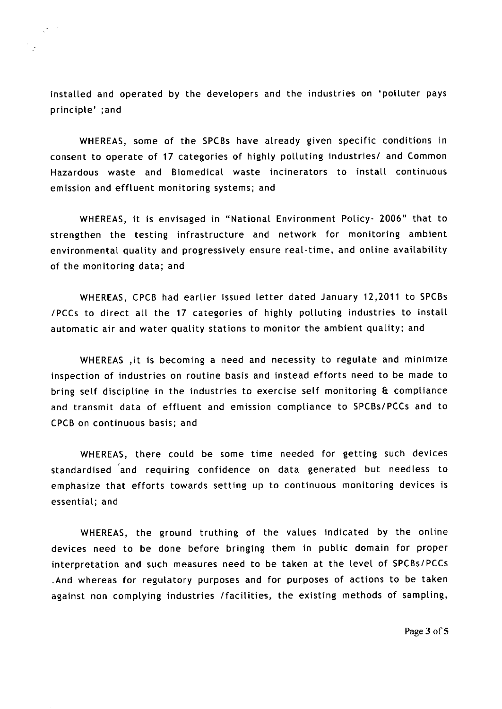installed and operated by the developers and the industries on 'polluter pays principle' ;and

WHEREAS, some of the SPCBs have already given specific conditions in consent to operate of 17 categories of highly polluting industries/ and Common Hazardous waste and Biomedical waste incinerators to install continuous emission and effluent monitoring systems; and

WHEREAS, it is envisaged in "National Environment Policy- 2006" that to strengthen the testing infrastructure and network for monitoring ambient environmental quality and progressively ensure real-time, and online availability of the monitoring data; and

WHEREAS, CPCB had earlier issued letter dated January 12,2011 to SPCBs /PCCs to direct all the 17 categories of highly polluting industries to install automatic air and water quality stations to monitor the ambient quality; and

WHEREAS ,it is becoming a need and necessity to regulate and minimize inspection of industries on routine basis and instead efforts need to be made to bring self discipline in the industries to exercise self monitoring & compliance and transmit data of effluent and emission compliance to SPCBs/PCCs and to CPCB on continuous basis; and

WHEREAS, there could be some time needed for getting such devices standardised and requiring confidence on data generated but needless to emphasize that efforts towards setting up to continuous monitoring devices is essential; and

WHEREAS, the ground truthing of the values indicated by the online devices need to be done before bringing them in public domain for proper interpretation and such measures need to be taken at the level of SPCBs/PCCs .And whereas for regulatory purposes and for purposes of actions to be taken against non complying industries /facilities, the existing methods of sampling,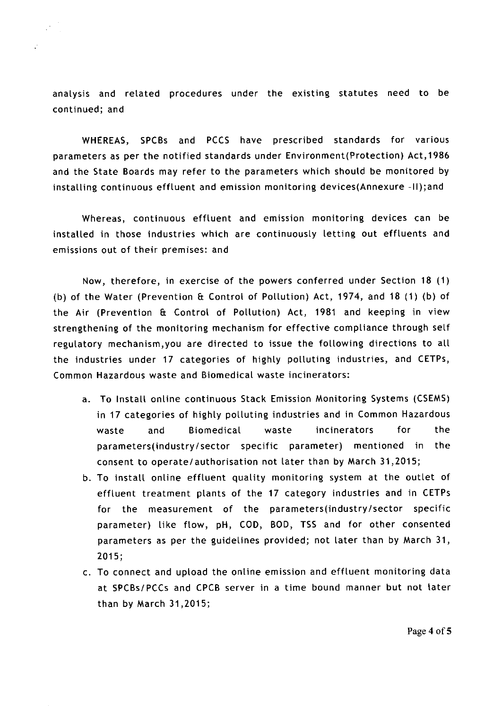analysis and related procedures under the existing statutes need to be continued; and

 $\ddot{\phantom{a}}$ 

WHEREAS, SPCBs and PCCS have prescribed standards for various parameters as per the notified standards under Environment(Protection) Act,1986 and the State Boards may refer to the parameters which should be monitored by installing continuous effluent and emission monitoring devices(Annexure -II);and

Whereas, continuous effluent and emission monitoring devices can be installed in those industries which are continuously letting out effluents and emissions out of their premises: and

Now, therefore, in exercise of the powers conferred under Section 18 (1) (b) of the Water (Prevention & Control of Pollution) Act, 1974, and 18 (1) (b) of the Air (Prevention & Control of Pollution) Act, 1981 and keeping in view strengthening of the monitoring mechanism for effective compliance through self regulatory mechanism,you are directed to issue the following directions to all the industries under 17 categories of highly polluting industries, and CETPs, Common Hazardous waste and Biomedical waste incinerators:

- To Install online continuous Stack Emission Monitoring Systems (CSEMS) in 17 categories of highly polluting industries and in Common Hazardous waste and Biomedical waste incinerators for the parameters(industry/sector specific parameter) mentioned in the consent to operate/authorisation not later than by March 31,2015;
- To install online effluent quality monitoring system at the outlet of effluent treatment plants of the 17 category industries and in CETPs for the measurement of the parameters(industry/sector specific parameter) like flow, pH, COD, BOD, TSS and for other consented parameters as per the guidelines provided; not later than by March 31, 2015;
- c. To connect and upload the online emission and effluent monitoring data at SPCBs/PCCs and CPCB server in a time bound manner but not later than by March 31,2015;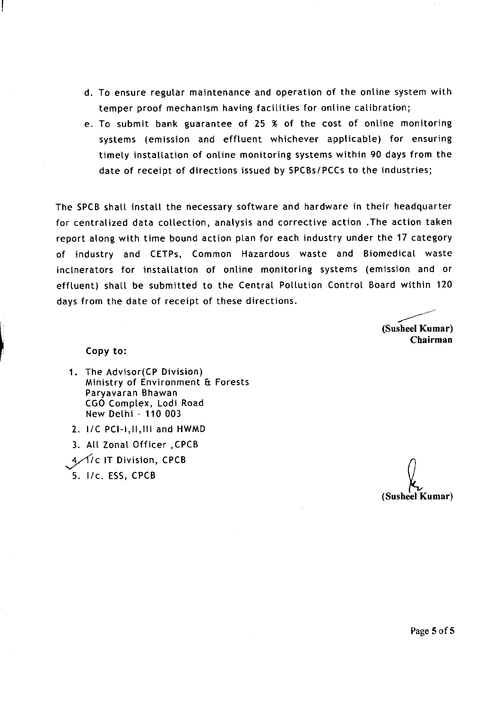- To ensure regular maintenance and operation of the online system with temper proof mechanism having facilities for online calibration;
- To submit bank guarantee of 25 % of the cost of online monitoring systems (emission and effluent whichever applicable) for ensuring timely installation of online monitoring systems within 90 days from the date of receipt of directions issued by SPCBs/PCCs to the industries;

The SPCB shall install the necessary software and hardware in their headquarter for centralized data collection, analysis and corrective action .The action taken report along with time bound action plan for each industry under the 17 category of industry and CETPs, Common Hazardous waste and Biomedical waste incinerators for installation of online monitoring systems (emission and or effluent) shall be submitted to the Central Pollution Control Board within 120 days from the date of receipt of these directions.

**(Susheel Kumar) Chairman**

## Copy to:

- 1. The Advisor(CP Division) Ministry of Environment & Forests Paryavaran Bhawan CGO Complex, Lodi Road New Delhi - 110 003
- 2. I/C PCI-1, II, 111 and HWMD
- 3. All Zonal Officer ,CPCB
- 4/1/c IT Division, CPCB
- 5. I/c. ESS, CPCB

**(Susheel Kumar)**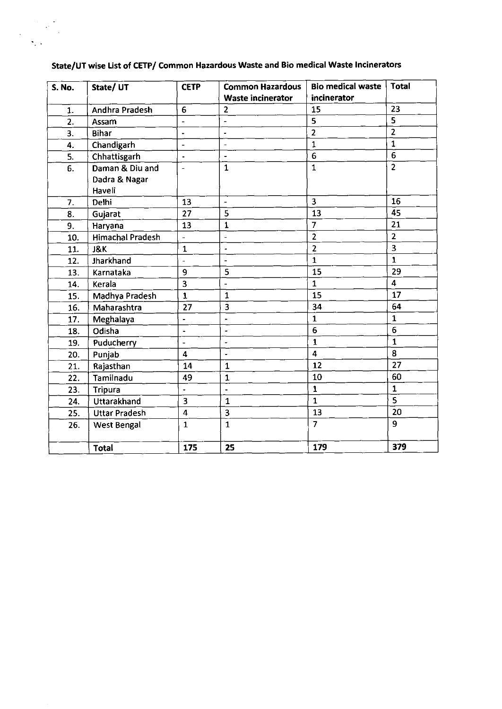| <b>S. No.</b>      | State/ UT               | <b>CETP</b>                  | <b>Common Hazardous</b>  | <b>Bio medical waste</b> | <b>Total</b>            |
|--------------------|-------------------------|------------------------------|--------------------------|--------------------------|-------------------------|
|                    |                         |                              | <b>Waste incinerator</b> | incinerator              |                         |
| 1.                 | Andhra Pradesh          | 6                            | $\overline{2}$           | 15                       | 23                      |
| 2.<br>Assam        |                         | $\overline{\phantom{a}}$     | $\overline{\phantom{m}}$ | 5                        | $\overline{5}$          |
| <b>Bihar</b><br>3. |                         | $\blacksquare$               | $\tilde{\phantom{a}}$    | $\overline{2}$           | $\overline{2}$          |
| 4.                 | Chandigarh              | $\overline{a}$               | $\overline{a}$           | $\mathbf{1}$             | $\mathbf{1}$            |
| 5.                 | Chhattisgarh            | $\blacksquare$               | $\blacksquare$           | 6                        | $\overline{6}$          |
| 6.                 | Daman & Diu and         | $\overline{\phantom{a}}$     | $\mathbf{1}$             | $\mathbf{1}$             | $\overline{2}$          |
|                    | Dadra & Nagar           |                              |                          |                          |                         |
|                    | Haveli                  |                              |                          |                          |                         |
| 7.                 | Delhi                   | 13                           | $\blacksquare$           | $\overline{\mathbf{3}}$  | 16                      |
| 8.                 | Gujarat                 | 27                           | 5                        | 13                       | 45                      |
| 9.                 | Haryana                 | 13                           | $\mathbf 1$              | $\overline{7}$           | 21                      |
| 10.                | <b>Himachal Pradesh</b> | $\bar{\phantom{a}}$          | $\blacksquare$           | $\overline{2}$           | $\overline{2}$          |
| 11.                | J&K                     | $\mathbf{1}$                 |                          | $\overline{2}$           | $\overline{\mathbf{3}}$ |
| 12.                | Jharkhand               | $\frac{1}{2}$                | ÷,                       | $\mathbf{1}$             | $\mathbf{1}$            |
| 13.                | Karnataka               | 9                            | 5                        | 15                       | 29                      |
| 14.                | Kerala                  | 3                            | ÷,                       | $\mathbf{1}$             | $\overline{4}$          |
| 15.                | Madhya Pradesh          | $\mathbf{1}$                 | $\mathbf{1}$             | 15                       | 17                      |
| 16.                | Maharashtra             | 27                           | 3                        | 34                       | 64                      |
| 17.                | Meghalaya               | $\qquad \qquad \blacksquare$ | $\overline{\phantom{0}}$ | $\mathbf{1}$             | $\mathbf{1}$            |
| 18.                | Odisha                  | $\blacksquare$               | $\overline{\phantom{a}}$ | 6                        | $\boldsymbol{6}$        |
| 19.                | Puducherry              | $\blacksquare$               | $\tilde{\phantom{a}}$    | $\mathbf{1}$             | $\mathbf{1}$            |
| 20.                | Punjab                  | 4                            | $\overline{a}$           | $\overline{\mathbf{4}}$  | 8                       |
| 21.                | Rajasthan               | 14                           | $\mathbf{1}$             | 12                       | 27                      |
| 22.                | Tamilnadu               | 49                           | $\mathbf{1}$             | 10                       | 60                      |
| 23.                | <b>Tripura</b>          | $\blacksquare$               | $\overline{\phantom{a}}$ | $\mathbf{1}$             | $\mathbf{1}$            |
| 24.                | Uttarakhand             | 3                            | $\mathbf{1}$             | $\mathbf{1}$             | $\overline{\mathsf{s}}$ |
| 25.                | <b>Uttar Pradesh</b>    | 4                            | 3                        | 13                       | 20                      |
| 26.                | <b>West Bengal</b>      | $\mathbf{1}$                 | $\mathbf{1}$             | $\overline{7}$           | 9                       |
|                    |                         |                              |                          |                          |                         |
|                    | <b>Total</b>            | 175                          | 25                       | 179                      | 379                     |

## State/UT wise List of CETP/ Common Hazardous Waste and Bio medical Waste Incinerators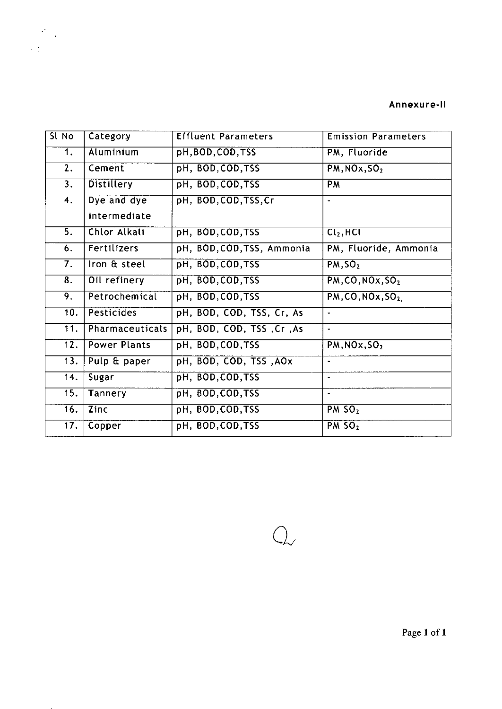## Annexure-II

| Sl No                     | Category            | <b>Effluent Parameters</b> | <b>Emission Parameters</b>           |
|---------------------------|---------------------|----------------------------|--------------------------------------|
| 1.                        | Aluminium           | pH, BOD, COD, TSS          | PM, Fluoride                         |
| $\overline{2}$ .          | Cement              | pH, BOD, COD, TSS          | PM, NOx, SO <sub>2</sub>             |
| 3.                        | <b>Distillery</b>   | pH, BOD, COD, TSS          | <b>PM</b>                            |
| $\overline{4}$ .          | Dye and dye         | pH, BOD, COD, TSS, Cr      |                                      |
|                           | intermediate        |                            |                                      |
| $\overline{5}$ .          | Chlor Alkali        | pH, BOD, COD, TSS          | $\overline{\text{Cl}_2, \text{HCl}}$ |
| $\overline{6}$ .          | Fertilizers         | pH, BOD, COD, TSS, Ammonia | PM, Fluoride, Ammonia                |
| $\overline{7}$ .          | Iron & steel        | pH, BOD, COD, TSS          | PM, SO <sub>2</sub>                  |
| $\overline{\mathbf{8}}$ . | Oil refinery        | pH, BOD, COD, TSS          | PM, CO, NOx, SO <sub>2</sub>         |
| 9.                        | Petrochemical       | pH, BOD, COD, TSS          | PM, CO, NOx, SO <sub>2</sub>         |
| 10.                       | Pesticides          | pH, BOD, COD, TSS, Cr, As  | $\bullet$                            |
| 11.                       | Pharmaceuticals     | pH, BOD, COD, TSS, Cr, As  |                                      |
| 12.                       | <b>Power Plants</b> | pH, BOD, COD, TSS          | PM, NOx, SO <sub>2</sub>             |
| 13.                       | Pulp & paper        | pH, BOD, COD, TSS, AOX     | $\blacksquare$                       |
| 14.                       | Sugar               | pH, BOD, COD, TSS          | $\overline{\phantom{a}}$             |
| 15.                       | Tannery             | pH, BOD, COD, TSS          | $\blacksquare$                       |
| $\overline{16}$ .         | Zinc                | pH, BOD, COD, TSS          | $PM$ SO <sub>2</sub>                 |
| 17.                       | Copper              | pH, BOD, COD, TSS          | $PM$ SO <sub>2</sub>                 |

 $Q_{\!\sim}$ 

 $\label{eq:2} \begin{split} \frac{\partial^2}{\partial t^2} \frac{d\mu}{dt} &= \frac{1}{2\pi} \frac{d\mu}{dt} \frac{d\mu}{dt} \frac{d\mu}{dt} \frac{d\mu}{dt} \frac{d\mu}{dt} \frac{d\mu}{dt} \frac{d\mu}{dt} \frac{d\mu}{dt} \frac{d\mu}{dt} \frac{d\mu}{dt} \frac{d\mu}{dt} \frac{d\mu}{dt} \frac{d\mu}{dt} \frac{d\mu}{dt} \frac{d\mu}{dt} \frac{d\mu}{dt} \frac{d\mu}{dt} \frac{d\mu}{dt} \frac{d\mu}{dt} \frac{d\$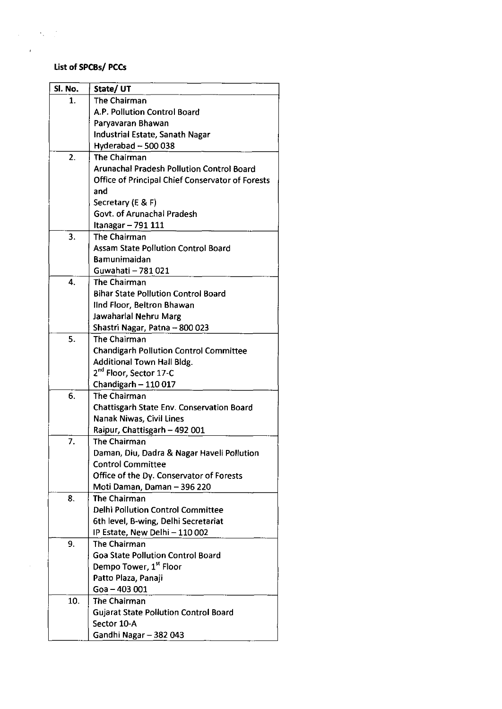## List of SPCBs/ PCCs

 $\mathcal{L}^{\text{max}}_{\text{max}}$  ,  $\mathcal{L}^{\text{max}}_{\text{max}}$ 

 $\bar{z}$ 

 $\sim 10$ 

| Sl. No.          | State/UT                                         |
|------------------|--------------------------------------------------|
| 1.               | <b>The Chairman</b>                              |
|                  | A.P. Pollution Control Board                     |
|                  | Paryavaran Bhawan                                |
|                  | Industrial Estate, Sanath Nagar                  |
|                  | Hyderabad ~ 500 038                              |
| $\overline{2}$ . | <b>The Chairman</b>                              |
|                  | <b>Arunachal Pradesh Pollution Control Board</b> |
|                  | Office of Principal Chief Conservator of Forests |
|                  | and                                              |
|                  | Secretary (E & F)                                |
|                  | Govt. of Arunachal Pradesh                       |
|                  | Itanagar - 791 111                               |
| $\overline{3}$ . | The Chairman                                     |
|                  | <b>Assam State Pollution Control Board</b>       |
|                  | <b>Bamunimaidan</b>                              |
|                  | Guwahati - 781 021                               |
| 4.               | <b>The Chairman</b>                              |
|                  | <b>Bihar State Pollution Control Board</b>       |
|                  | IInd Floor, Beltron Bhawan                       |
|                  | Jawaharlal Nehru Marg                            |
|                  | Shastri Nagar, Patna - 800 023                   |
| 5.               | <b>The Chairman</b>                              |
|                  | <b>Chandigarh Pollution Control Committee</b>    |
|                  | <b>Additional Town Hall Bldg.</b>                |
|                  | 2 <sup>nd</sup> Floor, Sector 17-C               |
|                  | Chandigarh - 110 017                             |
| 6.               | The Chairman                                     |
|                  | <b>Chattisgarh State Env. Conservation Board</b> |
|                  | Nanak Niwas, Civil Lines                         |
|                  | Raipur, Chattisgarh - 492 001                    |
| 7.               | <b>The Chairman</b>                              |
|                  | Daman, Diu, Dadra & Nagar Haveli Pollution       |
|                  | <b>Control Committee</b>                         |
|                  | Office of the Dy. Conservator of Forests         |
|                  | Moti Daman, Daman - 396 220                      |
| 8.               | The Chairman                                     |
|                  | <b>Delhi Pollution Control Committee</b>         |
|                  | 6th level, B-wing, Delhi Secretariat             |
|                  | IP Estate, New Delhi - 110 002                   |
| 9.               | The Chairman                                     |
|                  | <b>Goa State Pollution Control Board</b>         |
|                  | Dempo Tower, 1 <sup>st</sup> Floor               |
|                  | Patto Plaza, Panaji                              |
|                  | Goa - 403 001                                    |
| 10.              | The Chairman                                     |
|                  | <b>Gujarat State Pollution Control Board</b>     |
|                  | Sector 10-A                                      |
|                  | Gandhi Nagar - 382 043                           |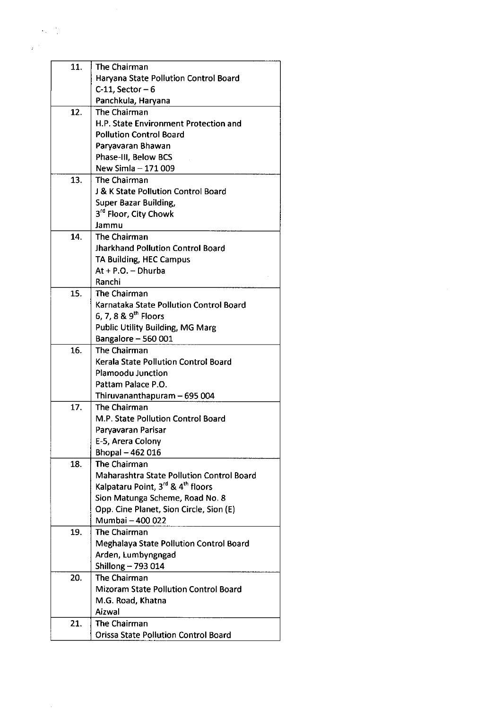| 11. | The Chairman                                              |
|-----|-----------------------------------------------------------|
|     | Haryana State Pollution Control Board                     |
|     | $C-11$ , Sector - 6                                       |
|     | Panchkula, Haryana                                        |
| 12. | The Chairman                                              |
|     | H.P. State Environment Protection and                     |
|     | <b>Pollution Control Board</b>                            |
|     | Paryavaran Bhawan                                         |
|     | Phase-III, Below BCS                                      |
|     | New Simla - 171 009                                       |
| 13. | The Chairman                                              |
|     | J & K State Pollution Control Board                       |
|     | <b>Super Bazar Building,</b>                              |
|     | 3 <sup>rd</sup> Floor, City Chowk                         |
|     | Jammu                                                     |
| 14. | The Chairman                                              |
|     |                                                           |
|     | <b>Jharkhand Pollution Control Board</b>                  |
|     | TA Building, HEC Campus                                   |
|     | $At + P.O. - Dhurba$                                      |
|     | Ranchi                                                    |
| 15. | The Chairman                                              |
|     | Karnataka State Pollution Control Board                   |
|     | 6, 7, 8 & $9^{th}$ Floors                                 |
|     | <b>Public Utility Building, MG Marg</b>                   |
|     | Bangalore - 560 001                                       |
| 16. | The Chairman                                              |
|     | Kerala State Pollution Control Board                      |
|     | <b>Plamoodu Junction</b>                                  |
|     | Pattam Palace P.O.                                        |
|     | Thiruvananthapuram - 695 004                              |
| 17. | The Chairman                                              |
|     | M.P. State Pollution Control Board                        |
|     | Paryavaran Parisar                                        |
|     | E-5, Arera Colony                                         |
|     | Bhopal - 462 016                                          |
| 18. | The Chairman                                              |
|     | <b>Maharashtra State Pollution Control Board</b>          |
|     | Kalpataru Point, 3 <sup>rd</sup> & 4 <sup>th</sup> floors |
|     | Sion Matunga Scheme, Road No. 8                           |
|     | Opp. Cine Planet, Sion Circle, Sion (E)                   |
|     | Mumbai - 400 022                                          |
| 19. | The Chairman                                              |
|     | <b>Meghalaya State Pollution Control Board</b>            |
|     | Arden, Lumbyngngad                                        |
|     | Shillong - 793 014                                        |
| 20. | The Chairman                                              |
|     | <b>Mizoram State Pollution Control Board</b>              |
|     | M.G. Road, Khatna                                         |
|     | Aizwal                                                    |
|     |                                                           |
| 21. | The Chairman                                              |
|     | <b>Orissa State Pollution Control Board</b>               |

 $\label{eq:2.1} \frac{1}{\sqrt{2}}\int_{\mathbb{R}^3}\frac{1}{\sqrt{2}}\left(\frac{1}{\sqrt{2}}\right)^2\frac{1}{\sqrt{2}}\left(\frac{1}{\sqrt{2}}\right)^2\frac{1}{\sqrt{2}}\left(\frac{1}{\sqrt{2}}\right)^2.$ 

 $\frac{1}{2} \frac{1}{2} \sum_{i=1}^{2}$  $\label{eq:2} \frac{1}{2}\sum_{i=1}^{N} \frac{1}{2\pi i} \int_{0}^{N} \frac{1}{\sqrt{2\pi i}} \, \mathrm{d}x \, \mathrm{d}x$